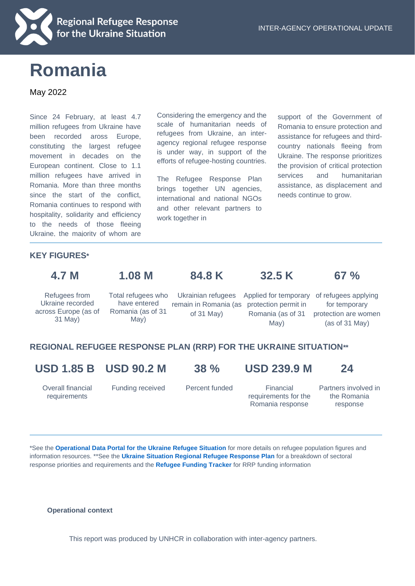

# **Romania**

#### May 2022

Since 24 February, at least 4.7 million refugees from Ukraine have been recorded aross Europe, constituting the largest refugee movement in decades on the European continent. Close to 1.1 million refugees have arrived in Romania. More than three months since the start of the conflict, Romania continues to respond with hospitality, solidarity and efficiency to the needs of those fleeing Ukraine, the majority of whom are

Considering the emergency and the scale of humanitarian needs of refugees from Ukraine, an interagency regional refugee response is under way, in support of the efforts of refugee-hosting countries.

The Refugee Response Plan brings together UN agencies, international and national NGOs and other relevant partners to work together in

support of the Government of Romania to ensure protection and assistance for refugees and thirdcountry nationals fleeing from Ukraine. The response prioritizes the provision of critical protection services and humanitarian assistance, as displacement and needs continue to grow.

### women and children. The children and children. **KEY FIGURES\***

**4.7 M 1.08 M 84.8 K 32.5 K 67 %**

Refugees from Ukraine recorded across Europe (as of 31 May)

Total refugees who have entered Romania (as of 31 May)

of 31 May)

Ukrainian refugees Applied for temporary of refugees applying remain in Romania (as protection permit in Romania (as of 31 May)

for temporary protection are women (as of 31 May)

# **REGIONAL REFUGEE RESPONSE PLAN (RRP) FOR THE UKRAINE SITUATION\*\***

**USD 1.85 B USD 90.2 M 38 % USD 239.9 M 24**

Overall financial requirements

Funding received Percent funded Financial

requirements for the Romania response

Partners involved in the Romania response

\*See the **[Operational Data Portal for the Ukraine Refugee Situation](http://data2.unhcr.org/en/situations/ukraine)** for more details on refugee population figures and information resources. \*\*See the **[Ukraine Situation Regional Refugee Response Plan](https://data2.unhcr.org/en/documents/details/92257)** for a breakdown of sectoral response priorities and requirements and the **[Refugee Funding Tracker](https://app.powerbi.com/view?r=eyJrIjoiZWE5MTAyYjYtNDZmYi00NGYzLWFkYjEtMzQ5MTAxZDBiZTU1IiwidCI6ImU1YzM3OTgxLTY2NjQtNDEzNC04YTBjLTY1NDNkMmFmODBiZSIsImMiOjh9)** for RRP funding information

#### **Operational context**

This report was produced by UNHCR in collaboration with inter-agency partners.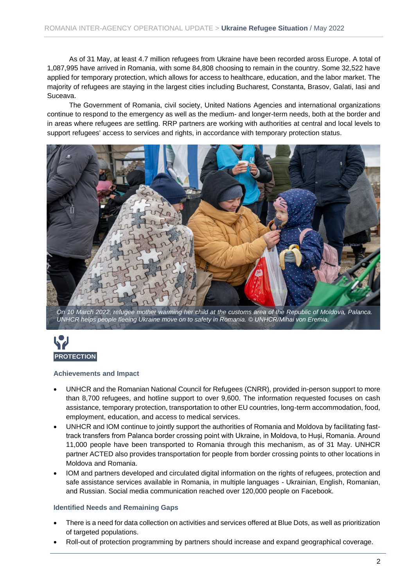As of 31 May, at least 4.7 million refugees from Ukraine have been recorded aross Europe. A total of 1,087,995 have arrived in Romania, with some 84,808 choosing to remain in the country. Some 32,522 have applied for temporary protection, which allows for access to healthcare, education, and the labor market. The majority of refugees are staying in the largest cities including Bucharest, Constanta, Brasov, Galati, Iasi and Suceava.

The Government of Romania, civil society, United Nations Agencies and international organizations continue to respond to the emergency as well as the medium- and longer-term needs, both at the border and in areas where refugees are settling. RRP partners are working with authorities at central and local levels to support refugees' access to services and rights, in accordance with temporary protection status.



*On 10 March 2022, refugee mother warming her child at the customs area of the Republic of Moldova, Palanca. UNHCR helps people fleeing Ukraine move on to safety in Romania. © UNHCR/Mihai von Eremia.* 



#### **Achievements and Impact**

- UNHCR and the Romanian National Council for Refugees (CNRR), provided in-person support to more than 8,700 refugees, and hotline support to over 9,600. The information requested focuses on cash assistance, temporary protection, transportation to other EU countries, long-term accommodation, food, employment, education, and access to medical services.
- UNHCR and IOM continue to jointly support the authorities of Romania and Moldova by facilitating fasttrack transfers from Palanca border crossing point with Ukraine, in Moldova, to Huși, Romania. Around 11,000 people have been transported to Romania through this mechanism, as of 31 May. UNHCR partner ACTED also provides transportation for people from border crossing points to other locations in Moldova and Romania.
- IOM and partners developed and circulated digital information on the rights of refugees, protection and safe assistance services available in Romania, in multiple languages - Ukrainian, English, Romanian, and Russian. Social media communication reached over 120,000 people on Facebook.

#### **Identified Needs and Remaining Gaps**

- There is a need for data collection on activities and services offered at Blue Dots, as well as prioritization of targeted populations.
- Roll-out of protection programming by partners should increase and expand geographical coverage.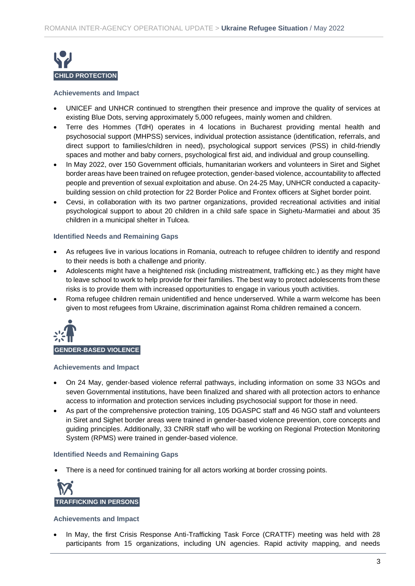

#### **Achievements and Impact**

- UNICEF and UNHCR continued to strengthen their presence and improve the quality of services at existing Blue Dots, serving approximately 5,000 refugees, mainly women and children.
- Terre des Hommes (TdH) operates in 4 locations in Bucharest providing mental health and psychosocial support (MHPSS) services, individual protection assistance (identification, referrals, and direct support to families/children in need), psychological support services (PSS) in child-friendly spaces and mother and baby corners, psychological first aid, and individual and group counselling.
- In May 2022, over 150 Government officials, humanitarian workers and volunteers in Siret and Sighet border areas have been trained on refugee protection, gender-based violence, accountability to affected people and prevention of sexual exploitation and abuse. On 24-25 May, UNHCR conducted a capacitybuilding session on child protection for 22 Border Police and Frontex officers at Sighet border point.
- Cevsi, in collaboration with its two partner organizations, provided recreational activities and initial psychological support to about 20 children in a child safe space in Sighetu-Marmatiei and about 35 children in a municipal shelter in Tulcea.

#### **Identified Needs and Remaining Gaps**

- As refugees live in various locations in Romania, outreach to refugee children to identify and respond to their needs is both a challenge and priority.
- Adolescents might have a heightened risk (including mistreatment, trafficking etc.) as they might have to leave school to work to help provide for their families. The best way to protect adolescents from these risks is to provide them with increased opportunities to engage in various youth activities.
- Roma refugee children remain unidentified and hence underserved. While a warm welcome has been given to most refugees from Ukraine, discrimination against Roma children remained a concern.



#### **GENDER-BASED VIOLENCE**

#### **Achievements and Impact**

- On 24 May, gender-based violence referral pathways, including information on some 33 NGOs and seven Governmental institutions, have been finalized and shared with all protection actors to enhance access to information and protection services including psychosocial support for those in need.
- As part of the comprehensive protection training, 105 DGASPC staff and 46 NGO staff and volunteers in Siret and Sighet border areas were trained in gender-based violence prevention, core concepts and guiding principles. Additionally, 33 CNRR staff who will be working on Regional Protection Monitoring System (RPMS) were trained in gender-based violence.

#### **Identified Needs and Remaining Gaps**

• There is a need for continued training for all actors working at border crossing points.



#### **Achievements and Impact**

• In May, the first Crisis Response Anti-Trafficking Task Force (CRATTF) meeting was held with 28 participants from 15 organizations, including UN agencies. Rapid activity mapping, and needs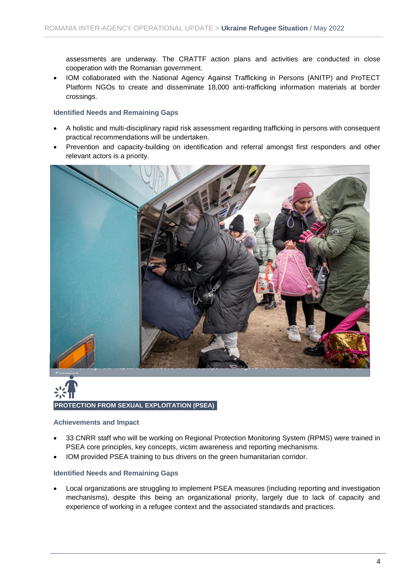assessments are underway. The CRATTF action plans and activities are conducted in close cooperation with the Romanian government.

• IOM collaborated with the National Agency Against Trafficking in Persons (ANITP) and ProTECT Platform NGOs to create and disseminate 18,000 anti-trafficking information materials at border crossings.

#### **Identified Needs and Remaining Gaps**

- A holistic and multi-disciplinary rapid risk assessment regarding trafficking in persons with consequent practical recommendations will be undertaken.
- Prevention and capacity-building on identification and referral amongst first responders and other relevant actors is a priority.



# **PROTECTION FROM SEXUAL EXPLOITATION (PSEA) SEA)**

#### **Achievements and Impact**

- 33 CNRR staff who will be working on Regional Protection Monitoring System (RPMS) were trained in PSEA core principles, key concepts, victim awareness and reporting mechanisms.
- IOM provided PSEA training to bus drivers on the green humanitarian corridor.

#### **Identified Needs and Remaining Gaps**

• Local organizations are struggling to implement PSEA measures (including reporting and investigation mechanisms), despite this being an organizational priority, largely due to lack of capacity and experience of working in a refugee context and the associated standards and practices.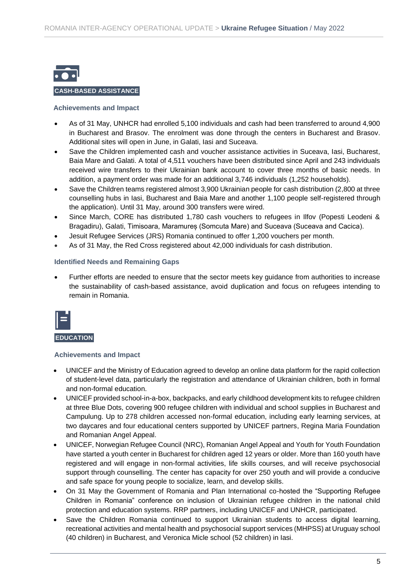

#### **CASH-BASED ASSISTANCE AND**

#### **Achievements and Impact**

- As of 31 May, UNHCR had enrolled 5,100 individuals and cash had been transferred to around 4,900 in Bucharest and Brasov. The enrolment was done through the centers in Bucharest and Brasov. Additional sites will open in June, in Galati, Iasi and Suceava.
- Save the Children implemented cash and voucher assistance activities in Suceava, Iasi, Bucharest, Baia Mare and Galati. A total of 4,511 vouchers have been distributed since April and 243 individuals received wire transfers to their Ukrainian bank account to cover three months of basic needs. In addition, a payment order was made for an additional 3,746 individuals (1,252 households).
- Save the Children teams registered almost 3,900 Ukrainian people for cash distribution (2,800 at three counselling hubs in Iasi, Bucharest and Baia Mare and another 1,100 people self-registered through the application). Until 31 May, around 300 transfers were wired.
- Since March, CORE has distributed 1,780 cash vouchers to refugees in Ilfov (Popesti Leodeni & Bragadiru), Galati, Timisoara, Maramureș (Somcuta Mare) and Suceava (Suceava and Cacica).
- Jesuit Refugee Services (JRS) Romania continued to offer 1,200 vouchers per month.
- As of 31 May, the Red Cross registered about 42,000 individuals for cash distribution.

#### **Identified Needs and Remaining Gaps**

• Further efforts are needed to ensure that the sector meets key guidance from authorities to increase the sustainability of cash-based assistance, avoid duplication and focus on refugees intending to remain in Romania.



**EDUCATION** 

#### **Achievements and Impact**

- UNICEF and the Ministry of Education agreed to develop an online data platform for the rapid collection of student-level data, particularly the registration and attendance of Ukrainian children, both in formal and non-formal education.
- UNICEF provided school-in-a-box, backpacks, and early childhood development kits to refugee children at three Blue Dots, covering 900 refugee children with individual and school supplies in Bucharest and Campulung. Up to 278 children accessed non-formal education, including early learning services, at two daycares and four educational centers supported by UNICEF partners, Regina Maria Foundation and Romanian Angel Appeal.
- UNICEF, Norwegian Refugee Council (NRC), Romanian Angel Appeal and Youth for Youth Foundation have started a youth center in Bucharest for children aged 12 years or older. More than 160 youth have registered and will engage in non-formal activities, life skills courses, and will receive psychosocial support through counselling. The center has capacity for over 250 youth and will provide a conducive and safe space for young people to socialize, learn, and develop skills.
- On 31 May the Government of Romania and Plan International co-hosted the "Supporting Refugee Children in Romania" conference on inclusion of Ukrainian refugee children in the national child protection and education systems. RRP partners, including UNICEF and UNHCR, participated.
- Save the Children Romania continued to support Ukrainian students to access digital learning, recreational activities and mental health and psychosocial support services (MHPSS) at Uruguay school (40 children) in Bucharest, and Veronica Micle school (52 children) in Iasi.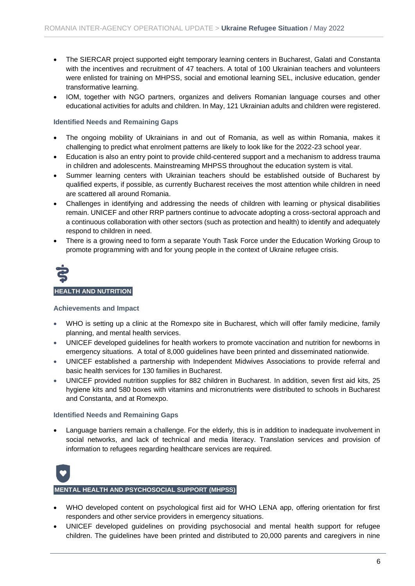- The SIERCAR project supported eight temporary learning centers in Bucharest, Galati and Constanta with the incentives and recruitment of 47 teachers. A total of 100 Ukrainian teachers and volunteers were enlisted for training on MHPSS, social and emotional learning SEL, inclusive education, gender transformative learning.
- IOM, together with NGO partners, organizes and delivers Romanian language courses and other educational activities for adults and children. In May, 121 Ukrainian adults and children were registered.

#### **Identified Needs and Remaining Gaps**

- The ongoing mobility of Ukrainians in and out of Romania, as well as within Romania, makes it challenging to predict what enrolment patterns are likely to look like for the 2022-23 school year.
- Education is also an entry point to provide child-centered support and a mechanism to address trauma in children and adolescents. Mainstreaming MHPSS throughout the education system is vital.
- Summer learning centers with Ukrainian teachers should be established outside of Bucharest by qualified experts, if possible, as currently Bucharest receives the most attention while children in need are scattered all around Romania.
- Challenges in identifying and addressing the needs of children with learning or physical disabilities remain. UNICEF and other RRP partners continue to advocate adopting a cross-sectoral approach and a continuous collaboration with other sectors (such as protection and health) to identify and adequately respond to children in need.
- There is a growing need to form a separate Youth Task Force under the Education Working Group to promote programming with and for young people in the context of Ukraine refugee crisis.



#### **Achievements and Impact**

- WHO is setting up a clinic at the Romexpo site in Bucharest, which will offer family medicine, family planning, and mental health services.
- UNICEF developed guidelines for health workers to promote vaccination and nutrition for newborns in emergency situations. A total of 8,000 guidelines have been printed and disseminated nationwide.
- UNICEF established a partnership with Independent Midwives Associations to provide referral and basic health services for 130 families in Bucharest.
- UNICEF provided nutrition supplies for 882 children in Bucharest. In addition, seven first aid kits, 25 hygiene kits and 580 boxes with vitamins and micronutrients were distributed to schools in Bucharest and Constanta, and at Romexpo.

#### **Identified Needs and Remaining Gaps**

Language barriers remain a challenge. For the elderly, this is in addition to inadequate involvement in social networks, and lack of technical and media literacy. Translation services and provision of information to refugees regarding healthcare services are required.



#### **MENTAL HEALTH AND PSYCHOSOCIAL SUPPORT (MHPSS)**

- WHO developed content on psychological first aid for WHO LENA app, offering orientation for first responders and other service providers in emergency situations.
- UNICEF developed guidelines on providing psychosocial and mental health support for refugee children. The guidelines have been printed and distributed to 20,000 parents and caregivers in nine